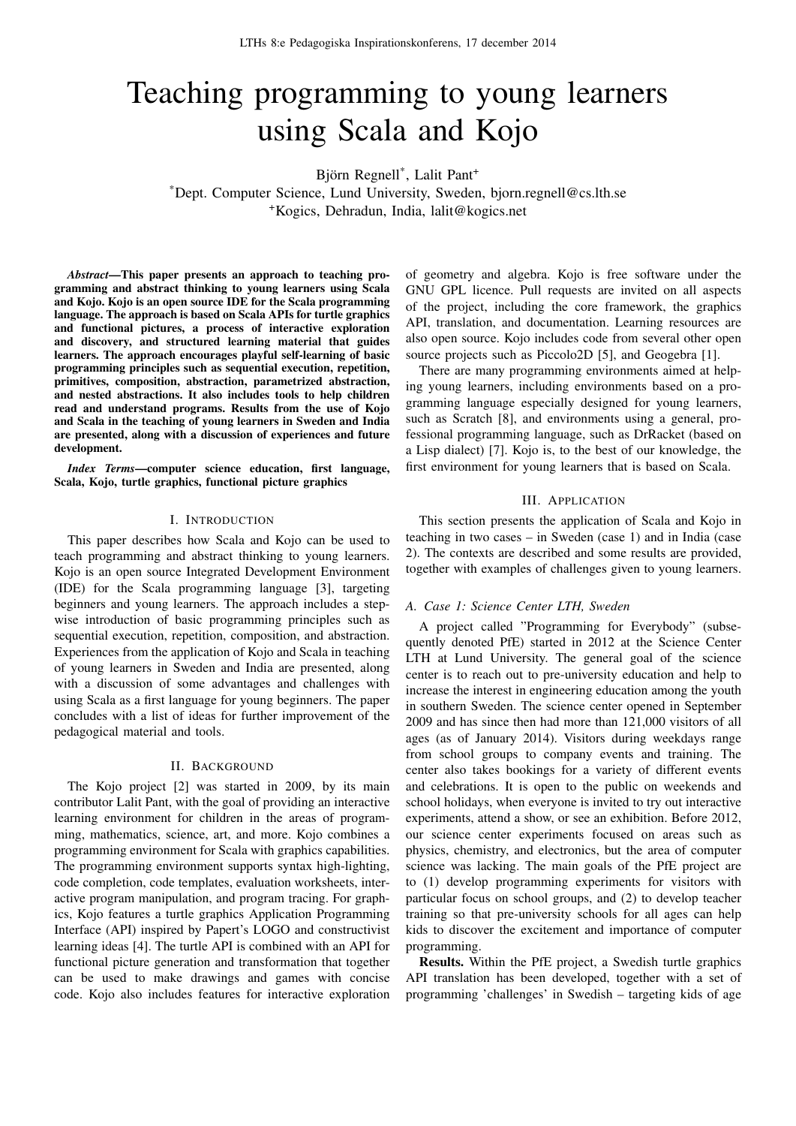# Teaching programming to young learners using Scala and Kojo

Björn Regnell\* , Lalit Pant<sup>+</sup>

\*Dept. Computer Science, Lund University, Sweden, bjorn.regnell@cs.lth.se <sup>+</sup>Kogics, Dehradun, India, lalit@kogics.net

*Abstract*—This paper presents an approach to teaching programming and abstract thinking to young learners using Scala and Kojo. Kojo is an open source IDE for the Scala programming language. The approach is based on Scala APIs for turtle graphics and functional pictures, a process of interactive exploration and discovery, and structured learning material that guides learners. The approach encourages playful self-learning of basic programming principles such as sequential execution, repetition, primitives, composition, abstraction, parametrized abstraction, and nested abstractions. It also includes tools to help children read and understand programs. Results from the use of Kojo and Scala in the teaching of young learners in Sweden and India are presented, along with a discussion of experiences and future development.

*Index Terms*—computer science education, first language, Scala, Kojo, turtle graphics, functional picture graphics

#### I. INTRODUCTION

This paper describes how Scala and Kojo can be used to teach programming and abstract thinking to young learners. Kojo is an open source Integrated Development Environment (IDE) for the Scala programming language [3], targeting beginners and young learners. The approach includes a stepwise introduction of basic programming principles such as sequential execution, repetition, composition, and abstraction. Experiences from the application of Kojo and Scala in teaching of young learners in Sweden and India are presented, along with a discussion of some advantages and challenges with using Scala as a first language for young beginners. The paper concludes with a list of ideas for further improvement of the pedagogical material and tools.

### II. BACKGROUND

The Kojo project [2] was started in 2009, by its main contributor Lalit Pant, with the goal of providing an interactive learning environment for children in the areas of programming, mathematics, science, art, and more. Kojo combines a programming environment for Scala with graphics capabilities. The programming environment supports syntax high-lighting, code completion, code templates, evaluation worksheets, interactive program manipulation, and program tracing. For graphics, Kojo features a turtle graphics Application Programming Interface (API) inspired by Papert's LOGO and constructivist learning ideas [4]. The turtle API is combined with an API for functional picture generation and transformation that together can be used to make drawings and games with concise code. Kojo also includes features for interactive exploration

of geometry and algebra. Kojo is free software under the GNU GPL licence. Pull requests are invited on all aspects of the project, including the core framework, the graphics API, translation, and documentation. Learning resources are also open source. Kojo includes code from several other open source projects such as Piccolo2D [5], and Geogebra [1].

There are many programming environments aimed at helping young learners, including environments based on a programming language especially designed for young learners, such as Scratch [8], and environments using a general, professional programming language, such as DrRacket (based on a Lisp dialect) [7]. Kojo is, to the best of our knowledge, the first environment for young learners that is based on Scala.

#### III. APPLICATION

This section presents the application of Scala and Kojo in teaching in two cases – in Sweden (case 1) and in India (case 2). The contexts are described and some results are provided, together with examples of challenges given to young learners.

#### *A. Case 1: Science Center LTH, Sweden*

A project called "Programming for Everybody" (subsequently denoted PfE) started in 2012 at the Science Center LTH at Lund University. The general goal of the science center is to reach out to pre-university education and help to increase the interest in engineering education among the youth in southern Sweden. The science center opened in September 2009 and has since then had more than 121,000 visitors of all ages (as of January 2014). Visitors during weekdays range from school groups to company events and training. The center also takes bookings for a variety of different events and celebrations. It is open to the public on weekends and school holidays, when everyone is invited to try out interactive experiments, attend a show, or see an exhibition. Before 2012, our science center experiments focused on areas such as physics, chemistry, and electronics, but the area of computer science was lacking. The main goals of the PfE project are to (1) develop programming experiments for visitors with particular focus on school groups, and (2) to develop teacher training so that pre-university schools for all ages can help kids to discover the excitement and importance of computer programming.

Results. Within the PfE project, a Swedish turtle graphics API translation has been developed, together with a set of programming 'challenges' in Swedish – targeting kids of age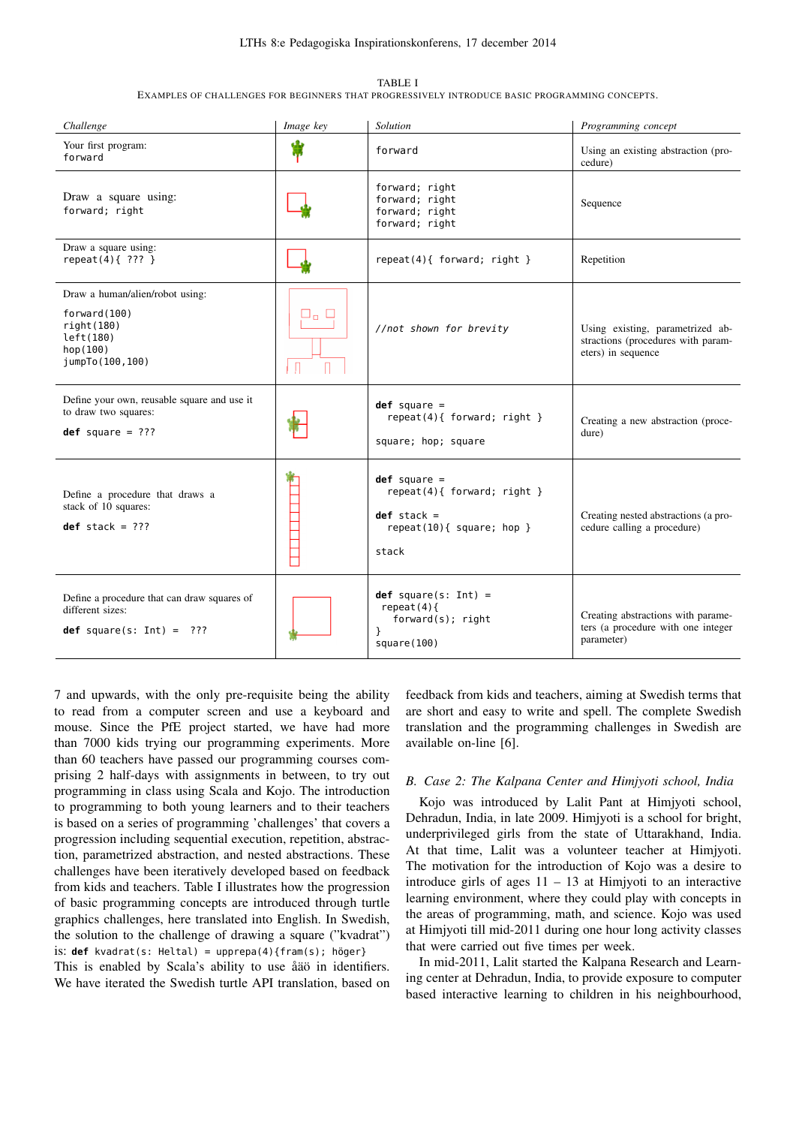#### LTHs 8:e Pedagogiska Inspirationskonferens, 17 december 2014

| <b>TABLE I</b><br>EXAMPLES OF CHALLENGES FOR BEGINNERS THAT PROGRESSIVELY INTRODUCE BASIC PROGRAMMING CONCEPTS. |                  |                                                    |                                                |  |
|-----------------------------------------------------------------------------------------------------------------|------------------|----------------------------------------------------|------------------------------------------------|--|
| Challenge                                                                                                       | <i>Image key</i> | Solution                                           | Programming concept                            |  |
| Your first program:<br>forward                                                                                  |                  | forward                                            | Using an existing abstraction (pro-<br>cedure) |  |
| Draw a square using:<br>forward; right                                                                          |                  | forward; right<br>forward; right<br>forward; right | Sequence                                       |  |

forward; right

**def** stack =

square(100)

stack

}

repeat(10){ square; hop }

**def** square(s: Int) = repeat(4){

forward(s); right

left(180) hop(100) jumpTo(100,100)  $\Box$ П Define your own, reusable square and use it **def** square = to draw two squares: repeat(4){ forward; right } **def** square = ??? square; hop; square **def** square = A BEREIK EINER repeat(4){ forward; right } Define a procedure that draws a stack of  $10$  squares:

repeat(4){ ??? }  $\begin{vmatrix} 1 & 1 & 1 \\ 1 & 1 & 1 \end{vmatrix}$  repeat(4){ forward; right } Repetition

Draw a square using:

forward(100) right(180)

 $def$  stack =  $???$ 

different sizes:

Define a procedure that can draw squares of

**def** square(s: Int) = ???

Draw a human/alien/robot using:

7 and upwards, with the only pre-requisite being the ability to read from a computer screen and use a keyboard and mouse. Since the PfE project started, we have had more than 7000 kids trying our programming experiments. More than 60 teachers have passed our programming courses comprising 2 half-days with assignments in between, to try out programming in class using Scala and Kojo. The introduction to programming to both young learners and to their teachers is based on a series of programming 'challenges' that covers a progression including sequential execution, repetition, abstraction, parametrized abstraction, and nested abstractions. These challenges have been iteratively developed based on feedback from kids and teachers. Table I illustrates how the progression of basic programming concepts are introduced through turtle graphics challenges, here translated into English. In Swedish, the solution to the challenge of drawing a square ("kvadrat") is: **def** kvadrat(s: Heltal) = upprepa(4){fram(s); höger}

This is enabled by Scala's ability to use åäö in identifiers. We have iterated the Swedish turtle API translation, based on feedback from kids and teachers, aiming at Swedish terms that are short and easy to write and spell. The complete Swedish translation and the programming challenges in Swedish are available on-line [6].

parameter)

//not shown for brevity Using existing, parametrized ab-

stractions (procedures with param-

Creating a new abstraction (proce-

Creating nested abstractions (a procedure calling a procedure)

Creating abstractions with parameters (a procedure with one integer

eters) in sequence

dure)

## *B. Case 2: The Kalpana Center and Himjyoti school, India*

Kojo was introduced by Lalit Pant at Himjyoti school, Dehradun, India, in late 2009. Himjyoti is a school for bright, underprivileged girls from the state of Uttarakhand, India. At that time, Lalit was a volunteer teacher at Himjyoti. The motivation for the introduction of Kojo was a desire to introduce girls of ages  $11 - 13$  at Himjyoti to an interactive learning environment, where they could play with concepts in the areas of programming, math, and science. Kojo was used at Himjyoti till mid-2011 during one hour long activity classes that were carried out five times per week.

In mid-2011, Lalit started the Kalpana Research and Learning center at Dehradun, India, to provide exposure to computer based interactive learning to children in his neighbourhood,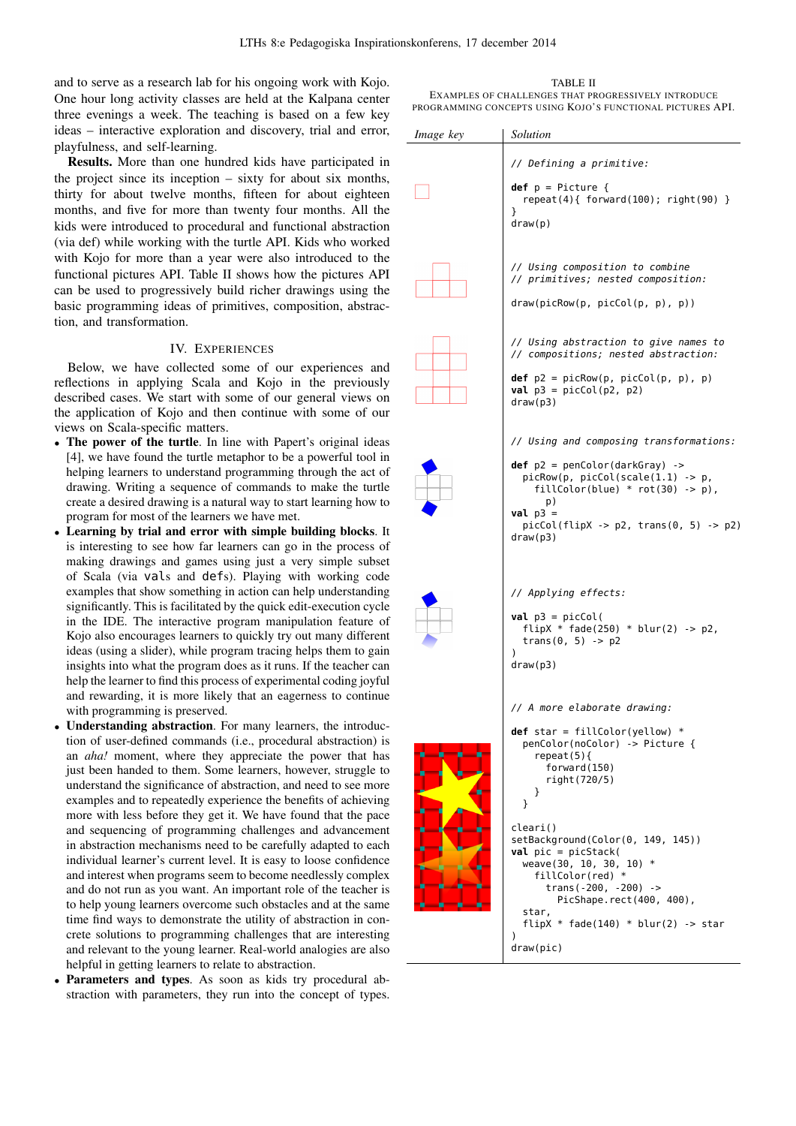and to serve as a research lab for his ongoing work with Kojo. One hour long activity classes are held at the Kalpana center three evenings a week. The teaching is based on a few key ideas – interactive exploration and discovery, trial and error, playfulness, and self-learning.

Results. More than one hundred kids have participated in the project since its inception – sixty for about six months, thirty for about twelve months, fifteen for about eighteen months, and five for more than twenty four months. All the kids were introduced to procedural and functional abstraction (via def) while working with the turtle API. Kids who worked with Kojo for more than a year were also introduced to the functional pictures API. Table II shows how the pictures API can be used to progressively build richer drawings using the basic programming ideas of primitives, composition, abstraction, and transformation.

# IV. EXPERIENCES

Below, we have collected some of our experiences and reflections in applying Scala and Kojo in the previously described cases. We start with some of our general views on the application of Kojo and then continue with some of our views on Scala-specific matters.

- The power of the turtle. In line with Papert's original ideas [4], we have found the turtle metaphor to be a powerful tool in helping learners to understand programming through the act of drawing. Writing a sequence of commands to make the turtle create a desired drawing is a natural way to start learning how to program for most of the learners we have met.
- Learning by trial and error with simple building blocks. It is interesting to see how far learners can go in the process of making drawings and games using just a very simple subset of Scala (via vals and defs). Playing with working code examples that show something in action can help understanding significantly. This is facilitated by the quick edit-execution cycle in the IDE. The interactive program manipulation feature of Kojo also encourages learners to quickly try out many different ideas (using a slider), while program tracing helps them to gain insights into what the program does as it runs. If the teacher can help the learner to find this process of experimental coding joyful and rewarding, it is more likely that an eagerness to continue with programming is preserved.
- *•* Understanding abstraction. For many learners, the introduction of user-defined commands (i.e., procedural abstraction) is an *aha!* moment, where they appreciate the power that has just been handed to them. Some learners, however, struggle to understand the significance of abstraction, and need to see more examples and to repeatedly experience the benefits of achieving more with less before they get it. We have found that the pace and sequencing of programming challenges and advancement in abstraction mechanisms need to be carefully adapted to each individual learner's current level. It is easy to loose confidence and interest when programs seem to become needlessly complex and do not run as you want. An important role of the teacher is to help young learners overcome such obstacles and at the same time find ways to demonstrate the utility of abstraction in concrete solutions to programming challenges that are interesting and relevant to the young learner. Real-world analogies are also helpful in getting learners to relate to abstraction.
- Parameters and types. As soon as kids try procedural abstraction with parameters, they run into the concept of types.

TABLE II EXAMPLES OF CHALLENGES THAT PROGRESSIVELY INTRODUCE PROGRAMMING CONCEPTS USING KOJO'S FUNCTIONAL PICTURES API.

| Image key | Solution                                                                                                                                                                                                                                                                                                                                                                  |
|-----------|---------------------------------------------------------------------------------------------------------------------------------------------------------------------------------------------------------------------------------------------------------------------------------------------------------------------------------------------------------------------------|
|           | // Defining a primitive:                                                                                                                                                                                                                                                                                                                                                  |
|           | $def p = Picture { }$<br>repeat(4){ $forward(100)$ ; $right(90)$ }<br>ł<br>draw(p)                                                                                                                                                                                                                                                                                        |
|           | // Using composition to combine<br>// primitives; nested composition:<br>draw(picRow(p, picCol(p, p), p))                                                                                                                                                                                                                                                                 |
|           | // Using abstraction to give names to<br>// compositions; nested abstraction:                                                                                                                                                                                                                                                                                             |
|           | $def$ $p2 = picRow(p, picCol(p, p), p)$<br><b>val</b> $p3 = picCol(p2, p2)$<br>draw(p3)                                                                                                                                                                                                                                                                                   |
|           | // Using and composing transformations:                                                                                                                                                                                                                                                                                                                                   |
|           | $def$ $p2 = penColor(dataKGray)$ -><br>$picRow(p, picCol(scale(1.1) -> p,$<br>fillColor(blue) * $rot(30)$ -> p),<br>p)<br>$val$ $p3 =$<br>$picCol(flipX -> p2, trans(0, 5) -> p2)$<br>draw(p3)                                                                                                                                                                            |
|           | // Applying effects:<br>$val$ $p3 = picCol($<br>flipX * fade(250) * blur(2) -> p2,<br>trans $(0, 5)$ -> p2<br>$\lambda$<br>draw(p3)                                                                                                                                                                                                                                       |
| ■         | // A more elaborate drawing:<br>def star = fillColor(yellow) $*$<br>penColor(noColor) -> Picture {<br>$repeat(5)$ {<br>forward(150)<br>right(720/5)<br>ł<br>}<br>cleari()<br>setBackground(Color(0, 149, 145))<br><b>val</b> pic = $picStack($<br>weave(30, 10, 30, 10) *<br>fillColor(red) *<br>trans( $-200, -200$ ) $\rightarrow$<br>PicShape.rect(400, 400),<br>star, |
|           | flipX * fade(140) * blur(2) -> star<br>$\mathcal{E}$<br>draw(pic)                                                                                                                                                                                                                                                                                                         |